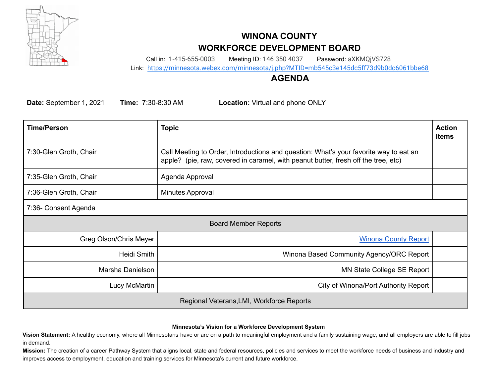

# **WINONA COUNTY WORKFORCE DEVELOPMENT BOARD**

Call in: 1-415-655-0003 Meeting ID: 146 350 4037 Password: aXKMQjVS728

Link: <https://minnesota.webex.com/minnesota/j.php?MTID=mb545c3e145dc5ff73d9b0dc6061bbe68>

### **AGENDA**

**Date:** September 1, 2021 **Time:** 7:30-8:30 AM **Location:** Virtual and phone ONLY

| <b>Time/Person</b>                        | <b>Topic</b>                                                                                                                                                                | <b>Action</b><br><b>Items</b> |  |
|-------------------------------------------|-----------------------------------------------------------------------------------------------------------------------------------------------------------------------------|-------------------------------|--|
| 7:30-Glen Groth, Chair                    | Call Meeting to Order, Introductions and question: What's your favorite way to eat an<br>apple? (pie, raw, covered in caramel, with peanut butter, fresh off the tree, etc) |                               |  |
| 7:35-Glen Groth, Chair                    | Agenda Approval                                                                                                                                                             |                               |  |
| 7:36-Glen Groth, Chair                    | Minutes Approval                                                                                                                                                            |                               |  |
| 7:36- Consent Agenda                      |                                                                                                                                                                             |                               |  |
| <b>Board Member Reports</b>               |                                                                                                                                                                             |                               |  |
| Greg Olson/Chris Meyer                    | <b>Winona County Report</b>                                                                                                                                                 |                               |  |
| Heidi Smith                               | Winona Based Community Agency/ORC Report                                                                                                                                    |                               |  |
| Marsha Danielson                          | MN State College SE Report                                                                                                                                                  |                               |  |
| Lucy McMartin                             | City of Winona/Port Authority Report                                                                                                                                        |                               |  |
| Regional Veterans, LMI, Workforce Reports |                                                                                                                                                                             |                               |  |

#### **Minnesota's Vision for a Workforce Development System**

**Vision Statement:** A healthy economy, where all Minnesotans have or are on a path to meaningful employment and a family sustaining wage, and all employers are able to fill jobs in demand.

**Mission:** The creation of a career Pathway System that aligns local, state and federal resources, policies and services to meet the workforce needs of business and industry and improves access to employment, education and training services for Minnesota's current and future workforce.